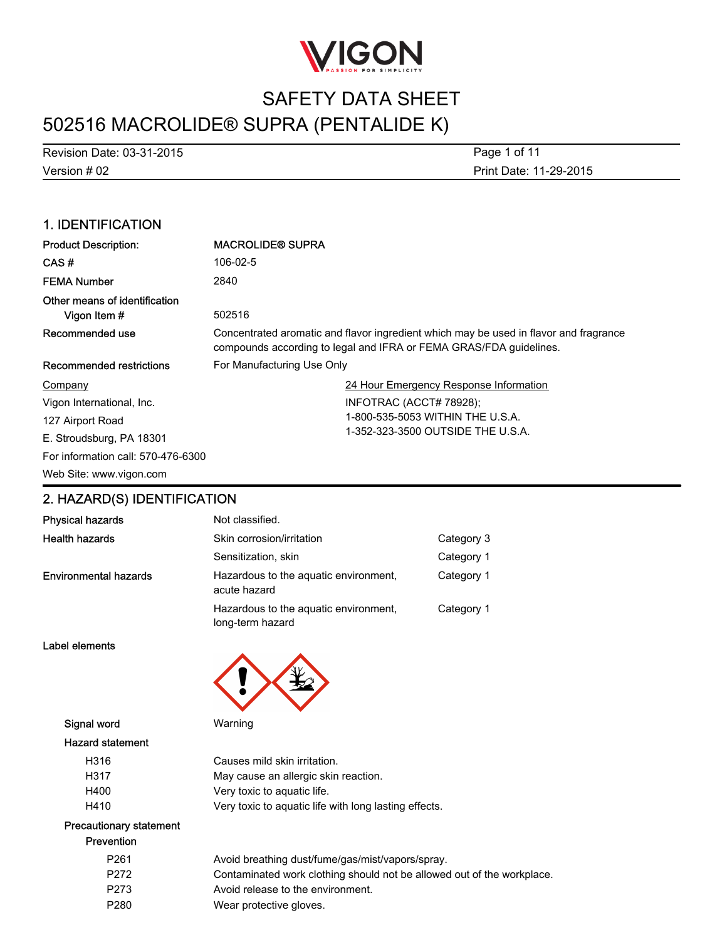

Version # 02 Revision Date: 03-31-2015 Print Date: 11-29-2015 Page 1 of 11

## 1. IDENTIFICATION

| <b>Product Description:</b>                   | <b>MACROLIDE® SUPRA</b>                                                                                                                                     |  |
|-----------------------------------------------|-------------------------------------------------------------------------------------------------------------------------------------------------------------|--|
| CAS#                                          | 106-02-5                                                                                                                                                    |  |
| <b>FEMA Number</b>                            | 2840                                                                                                                                                        |  |
| Other means of identification<br>Vigon Item # | 502516                                                                                                                                                      |  |
| Recommended use                               | Concentrated aromatic and flavor ingredient which may be used in flavor and fragrance<br>compounds according to legal and IFRA or FEMA GRAS/FDA guidelines. |  |
| <b>Recommended restrictions</b>               | For Manufacturing Use Only                                                                                                                                  |  |
| Company                                       | 24 Hour Emergency Response Information                                                                                                                      |  |
| Vigon International, Inc.                     | INFOTRAC (ACCT# 78928);                                                                                                                                     |  |
| 127 Airport Road                              | 1-800-535-5053 WITHIN THE U.S.A.                                                                                                                            |  |
| E. Stroudsburg, PA 18301                      | 1-352-323-3500 OUTSIDE THE U.S.A.                                                                                                                           |  |
| For information call: 570-476-6300            |                                                                                                                                                             |  |
| Web Site: www.vigon.com                       |                                                                                                                                                             |  |

## 2. HAZARD(S) IDENTIFICATION

| <b>Physical hazards</b>      | Not classified.                                           |            |
|------------------------------|-----------------------------------------------------------|------------|
| <b>Health hazards</b>        | Skin corrosion/irritation                                 | Category 3 |
|                              | Sensitization, skin                                       | Category 1 |
| <b>Environmental hazards</b> | Hazardous to the aquatic environment,<br>acute hazard     | Category 1 |
|                              | Hazardous to the aquatic environment,<br>long-term hazard | Category 1 |

Label elements



Signal word Warning

#### Hazard statement

| H316 | Causes mild skin irritation.                          |
|------|-------------------------------------------------------|
| H317 | May cause an allergic skin reaction.                  |
| H400 | Very toxic to aguatic life.                           |
| H410 | Very toxic to aguatic life with long lasting effects. |

#### Precautionary statement Prevention

| P <sub>261</sub> | Avoid breathing dust/fume/gas/mist/vapors/spray.                       |
|------------------|------------------------------------------------------------------------|
| P272             | Contaminated work clothing should not be allowed out of the workplace. |
| P273             | Avoid release to the environment.                                      |
| P <sub>280</sub> | Wear protective gloves.                                                |
|                  |                                                                        |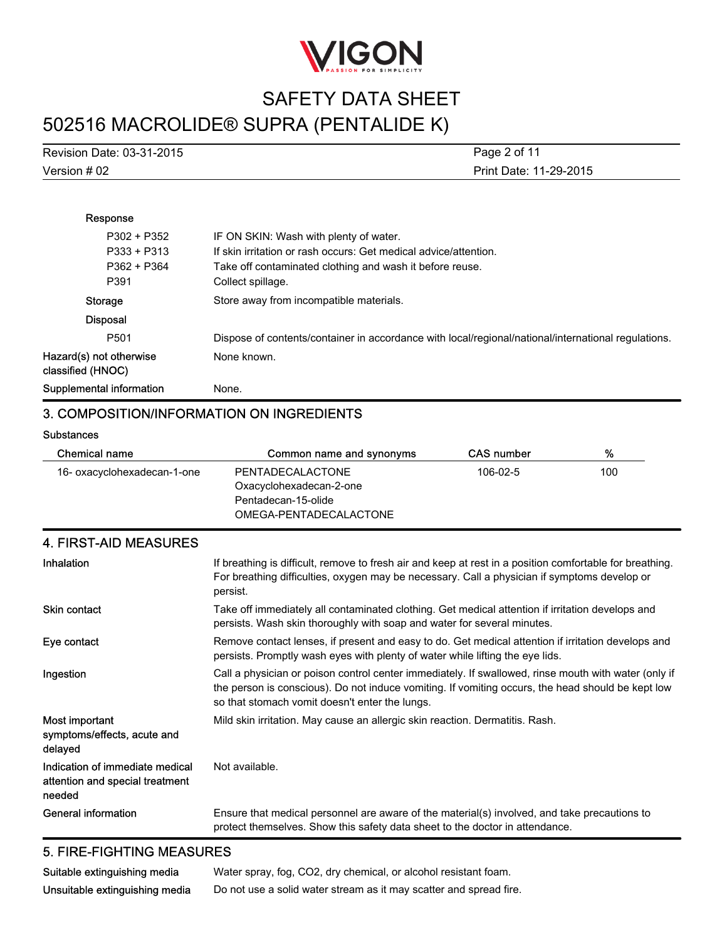

| Revision Date: 03-31-2015 | Page 2 of 11           |
|---------------------------|------------------------|
| Version # 02              | Print Date: 11-29-2015 |

| Response                                     |                                                                                                     |
|----------------------------------------------|-----------------------------------------------------------------------------------------------------|
| $P302 + P352$                                | IF ON SKIN: Wash with plenty of water.                                                              |
| $P333 + P313$                                | If skin irritation or rash occurs: Get medical advice/attention.                                    |
| P362 + P364                                  | Take off contaminated clothing and wash it before reuse.                                            |
| P391                                         | Collect spillage.                                                                                   |
| Storage                                      | Store away from incompatible materials.                                                             |
| <b>Disposal</b>                              |                                                                                                     |
| P <sub>501</sub>                             | Dispose of contents/container in accordance with local/regional/national/international regulations. |
| Hazard(s) not otherwise<br>classified (HNOC) | None known.                                                                                         |
| Supplemental information                     | None.                                                                                               |

## 3. COMPOSITION/INFORMATION ON INGREDIENTS

**Substances** 

| Chemical name               | Common name and synonyms | <b>CAS number</b> | %   |
|-----------------------------|--------------------------|-------------------|-----|
| 16- oxacyclohexadecan-1-one | PENTADECALACTONE         | 106-02-5          | 100 |
|                             | Oxacyclohexadecan-2-one  |                   |     |
|                             | Pentadecan-15-olide      |                   |     |
|                             | OMEGA-PENTADECALACTONE   |                   |     |

| <b>4. FIRST-AID MEASURES</b>                                                 |                                                                                                                                                                                                                                                             |
|------------------------------------------------------------------------------|-------------------------------------------------------------------------------------------------------------------------------------------------------------------------------------------------------------------------------------------------------------|
| Inhalation                                                                   | If breathing is difficult, remove to fresh air and keep at rest in a position comfortable for breathing.<br>For breathing difficulties, oxygen may be necessary. Call a physician if symptoms develop or<br>persist.                                        |
| <b>Skin contact</b>                                                          | Take off immediately all contaminated clothing. Get medical attention if irritation develops and<br>persists. Wash skin thoroughly with soap and water for several minutes.                                                                                 |
| Eye contact                                                                  | Remove contact lenses, if present and easy to do. Get medical attention if irritation develops and<br>persists. Promptly wash eyes with plenty of water while lifting the eye lids.                                                                         |
| Ingestion                                                                    | Call a physician or poison control center immediately. If swallowed, rinse mouth with water (only if<br>the person is conscious). Do not induce vomiting. If vomiting occurs, the head should be kept low<br>so that stomach vomit doesn't enter the lungs. |
| Most important<br>symptoms/effects, acute and<br>delayed                     | Mild skin irritation. May cause an allergic skin reaction. Dermatitis. Rash.                                                                                                                                                                                |
| Indication of immediate medical<br>attention and special treatment<br>needed | Not available.                                                                                                                                                                                                                                              |
| General information                                                          | Ensure that medical personnel are aware of the material(s) involved, and take precautions to<br>protect themselves. Show this safety data sheet to the doctor in attendance.                                                                                |

### 5. FIRE-FIGHTING MEASURES

| Suitable extinguishing media   | Water spray, fog, CO2, dry chemical, or alcohol resistant foam.    |
|--------------------------------|--------------------------------------------------------------------|
| Unsuitable extinguishing media | Do not use a solid water stream as it may scatter and spread fire. |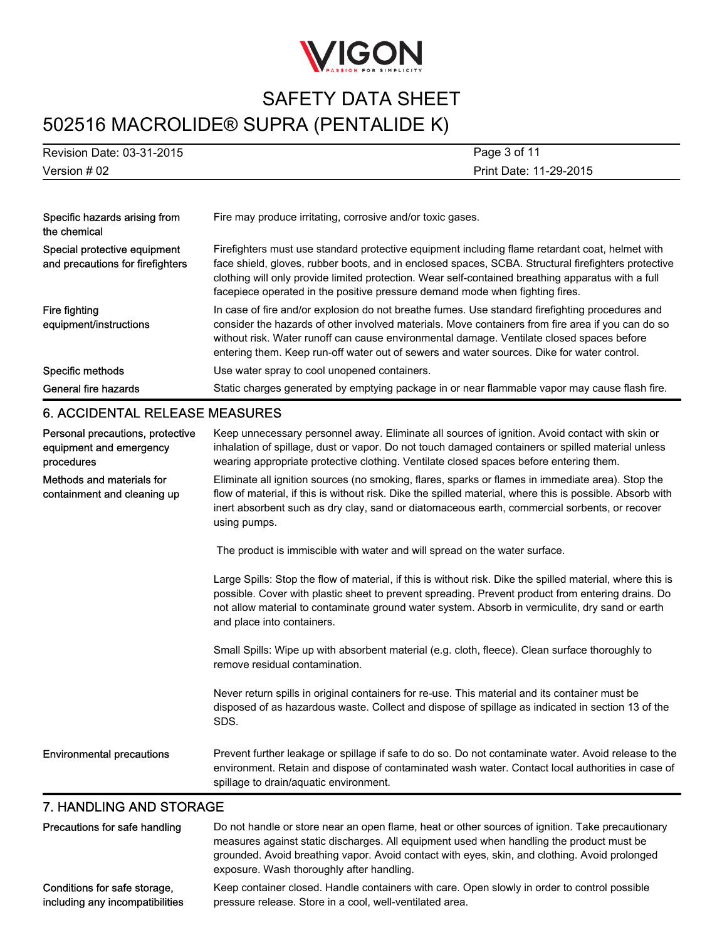

| Revision Date: 03-31-2015                                                 | Page 3 of 11                                                                                                                                                                                                                                                                                                                                                                                    |
|---------------------------------------------------------------------------|-------------------------------------------------------------------------------------------------------------------------------------------------------------------------------------------------------------------------------------------------------------------------------------------------------------------------------------------------------------------------------------------------|
| Version #02                                                               | Print Date: 11-29-2015                                                                                                                                                                                                                                                                                                                                                                          |
|                                                                           |                                                                                                                                                                                                                                                                                                                                                                                                 |
| Specific hazards arising from<br>the chemical                             | Fire may produce irritating, corrosive and/or toxic gases.                                                                                                                                                                                                                                                                                                                                      |
| Special protective equipment<br>and precautions for firefighters          | Firefighters must use standard protective equipment including flame retardant coat, helmet with<br>face shield, gloves, rubber boots, and in enclosed spaces, SCBA. Structural firefighters protective<br>clothing will only provide limited protection. Wear self-contained breathing apparatus with a full<br>facepiece operated in the positive pressure demand mode when fighting fires.    |
| Fire fighting<br>equipment/instructions                                   | In case of fire and/or explosion do not breathe fumes. Use standard firefighting procedures and<br>consider the hazards of other involved materials. Move containers from fire area if you can do so<br>without risk. Water runoff can cause environmental damage. Ventilate closed spaces before<br>entering them. Keep run-off water out of sewers and water sources. Dike for water control. |
| Specific methods                                                          | Use water spray to cool unopened containers.                                                                                                                                                                                                                                                                                                                                                    |
| <b>General fire hazards</b>                                               | Static charges generated by emptying package in or near flammable vapor may cause flash fire.                                                                                                                                                                                                                                                                                                   |
| <b>6. ACCIDENTAL RELEASE MEASURES</b>                                     |                                                                                                                                                                                                                                                                                                                                                                                                 |
| Personal precautions, protective<br>equipment and emergency<br>procedures | Keep unnecessary personnel away. Eliminate all sources of ignition. Avoid contact with skin or<br>inhalation of spillage, dust or vapor. Do not touch damaged containers or spilled material unless<br>wearing appropriate protective clothing. Ventilate closed spaces before entering them.                                                                                                   |
| Methods and materials for<br>containment and cleaning up                  | Eliminate all ignition sources (no smoking, flares, sparks or flames in immediate area). Stop the<br>flow of material, if this is without risk. Dike the spilled material, where this is possible. Absorb with<br>inert absorbent such as dry clay, sand or diatomaceous earth, commercial sorbents, or recover<br>using pumps.                                                                 |
|                                                                           | The product is immiscible with water and will spread on the water surface.                                                                                                                                                                                                                                                                                                                      |
|                                                                           | Large Spills: Stop the flow of material, if this is without risk. Dike the spilled material, where this is<br>possible. Cover with plastic sheet to prevent spreading. Prevent product from entering drains. Do<br>not allow material to contaminate ground water system. Absorb in vermiculite, dry sand or earth<br>and place into containers.                                                |
|                                                                           | Small Spills: Wipe up with absorbent material (e.g. cloth, fleece). Clean surface thoroughly to<br>remove residual contamination.                                                                                                                                                                                                                                                               |
|                                                                           | Never return spills in original containers for re-use. This material and its container must be<br>disposed of as hazardous waste. Collect and dispose of spillage as indicated in section 13 of the<br>SDS.                                                                                                                                                                                     |

Environmental precautions Prevent further leakage or spillage if safe to do so. Do not contaminate water. Avoid release to the environment. Retain and dispose of contaminated wash water. Contact local authorities in case of spillage to drain/aquatic environment.

### 7. HANDLING AND STORAGE

| Precautions for safe handling   | Do not handle or store near an open flame, heat or other sources of ignition. Take precautionary<br>measures against static discharges. All equipment used when handling the product must be<br>grounded. Avoid breathing vapor. Avoid contact with eyes, skin, and clothing. Avoid prolonged<br>exposure. Wash thoroughly after handling. |
|---------------------------------|--------------------------------------------------------------------------------------------------------------------------------------------------------------------------------------------------------------------------------------------------------------------------------------------------------------------------------------------|
| Conditions for safe storage.    | Keep container closed. Handle containers with care. Open slowly in order to control possible                                                                                                                                                                                                                                               |
| including any incompatibilities | pressure release. Store in a cool, well-ventilated area.                                                                                                                                                                                                                                                                                   |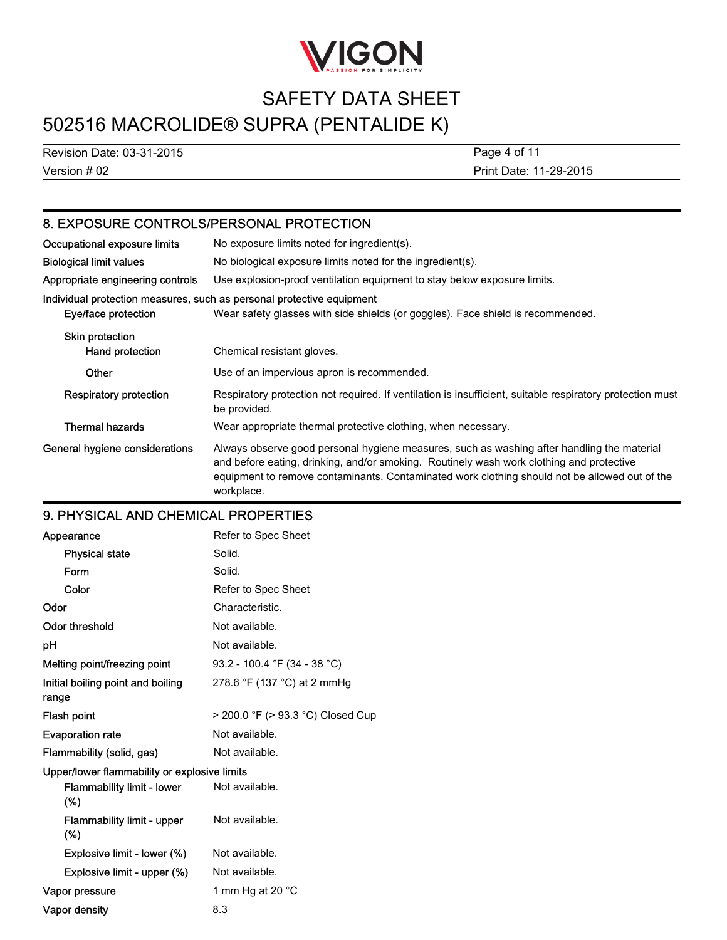

# SAFETY DATA SHEET

# 502516 MACROLIDE® SUPRA (PENTALIDE K)

Version # 02 Revision Date: 03-31-2015 Print Date: 11-29-2015 Page 4 of 11

## 8. EXPOSURE CONTROLS/PERSONAL PROTECTION

| Occupational exposure limits       | No exposure limits noted for ingredient(s).                                                                                                                                                                                                                                                           |
|------------------------------------|-------------------------------------------------------------------------------------------------------------------------------------------------------------------------------------------------------------------------------------------------------------------------------------------------------|
| <b>Biological limit values</b>     | No biological exposure limits noted for the ingredient(s).                                                                                                                                                                                                                                            |
| Appropriate engineering controls   | Use explosion-proof ventilation equipment to stay below exposure limits.                                                                                                                                                                                                                              |
| Eye/face protection                | Individual protection measures, such as personal protective equipment<br>Wear safety glasses with side shields (or goggles). Face shield is recommended.                                                                                                                                              |
| Skin protection<br>Hand protection | Chemical resistant gloves.                                                                                                                                                                                                                                                                            |
| Other                              | Use of an impervious apron is recommended.                                                                                                                                                                                                                                                            |
| <b>Respiratory protection</b>      | Respiratory protection not required. If ventilation is insufficient, suitable respiratory protection must<br>be provided.                                                                                                                                                                             |
| <b>Thermal hazards</b>             | Wear appropriate thermal protective clothing, when necessary.                                                                                                                                                                                                                                         |
| General hygiene considerations     | Always observe good personal hygiene measures, such as washing after handling the material<br>and before eating, drinking, and/or smoking. Routinely wash work clothing and protective<br>equipment to remove contaminants. Contaminated work clothing should not be allowed out of the<br>workplace. |

### 9. PHYSICAL AND CHEMICAL PROPERTIES

| Appearance                                   | Refer to Spec Sheet               |
|----------------------------------------------|-----------------------------------|
| <b>Physical state</b>                        | Solid.                            |
| Form                                         | Solid.                            |
| Color                                        | Refer to Spec Sheet               |
| Odor                                         | Characteristic.                   |
| <b>Odor threshold</b>                        | Not available.                    |
| рH                                           | Not available.                    |
| Melting point/freezing point                 | 93.2 - 100.4 °F (34 - 38 °C)      |
| Initial boiling point and boiling<br>range   | 278.6 °F (137 °C) at 2 mmHg       |
| Flash point                                  | > 200.0 °F (> 93.3 °C) Closed Cup |
| <b>Evaporation rate</b>                      | Not available.                    |
| Flammability (solid, gas)                    | Not available.                    |
| Upper/lower flammability or explosive limits |                                   |
| <b>Flammability limit - lower</b><br>$(\%)$  | Not available.                    |
| <b>Flammability limit - upper</b><br>(%)     | Not available.                    |
| Explosive limit - lower (%)                  | Not available.                    |
| Explosive limit - upper (%)                  | Not available.                    |
| Vapor pressure                               | 1 mm Hg at 20 $\degree$ C         |
| Vapor density                                | 8.3                               |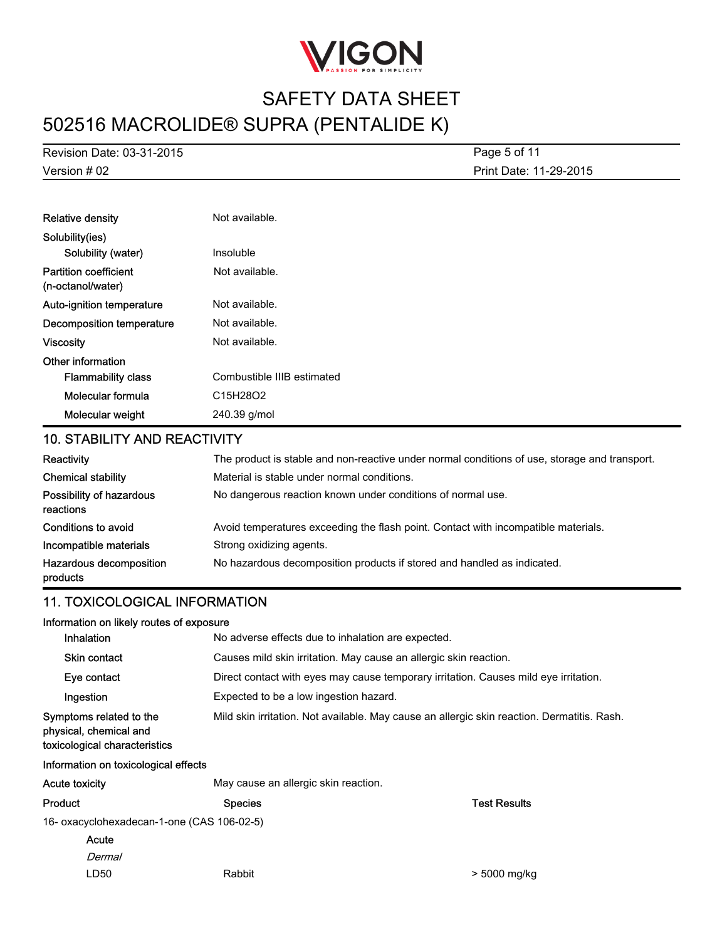

Version # 02 Revision Date: 03-31-2015 Print Date: 11-29-2015 Page 5 of 11

| <b>Relative density</b>                           | Not available.             |
|---------------------------------------------------|----------------------------|
| Solubility(ies)                                   |                            |
| Solubility (water)                                | Insoluble                  |
| <b>Partition coefficient</b><br>(n-octanol/water) | Not available.             |
| Auto-ignition temperature                         | Not available.             |
| <b>Decomposition temperature</b>                  | Not available.             |
| <b>Viscosity</b>                                  | Not available.             |
| Other information                                 |                            |
| <b>Flammability class</b>                         | Combustible IIIB estimated |
| Molecular formula                                 | C15H28O2                   |
| Molecular weight                                  | 240.39 g/mol               |

### 10. STABILITY AND REACTIVITY

| Reactivity                            | The product is stable and non-reactive under normal conditions of use, storage and transport. |
|---------------------------------------|-----------------------------------------------------------------------------------------------|
| <b>Chemical stability</b>             | Material is stable under normal conditions.                                                   |
| Possibility of hazardous<br>reactions | No dangerous reaction known under conditions of normal use.                                   |
| Conditions to avoid                   | Avoid temperatures exceeding the flash point. Contact with incompatible materials.            |
| Incompatible materials                | Strong oxidizing agents.                                                                      |
| Hazardous decomposition<br>products   | No hazardous decomposition products if stored and handled as indicated.                       |

## 11. TOXICOLOGICAL INFORMATION

| Information on likely routes of exposure                                           |                                                                                             |                     |  |
|------------------------------------------------------------------------------------|---------------------------------------------------------------------------------------------|---------------------|--|
| <b>Inhalation</b>                                                                  | No adverse effects due to inhalation are expected.                                          |                     |  |
| <b>Skin contact</b>                                                                | Causes mild skin irritation. May cause an allergic skin reaction.                           |                     |  |
| Eye contact                                                                        | Direct contact with eyes may cause temporary irritation. Causes mild eye irritation.        |                     |  |
| Ingestion                                                                          | Expected to be a low ingestion hazard.                                                      |                     |  |
| Symptoms related to the<br>physical, chemical and<br>toxicological characteristics | Mild skin irritation. Not available. May cause an allergic skin reaction. Dermatitis. Rash. |                     |  |
| Information on toxicological effects                                               |                                                                                             |                     |  |
| <b>Acute toxicity</b>                                                              | May cause an allergic skin reaction.                                                        |                     |  |
| Product                                                                            | <b>Species</b>                                                                              | <b>Test Results</b> |  |
| 16- oxacyclohexadecan-1-one (CAS 106-02-5)                                         |                                                                                             |                     |  |

- 16- oxacyclohexadecan-1-one (CAS 106-02-5)
	- Dermal Acute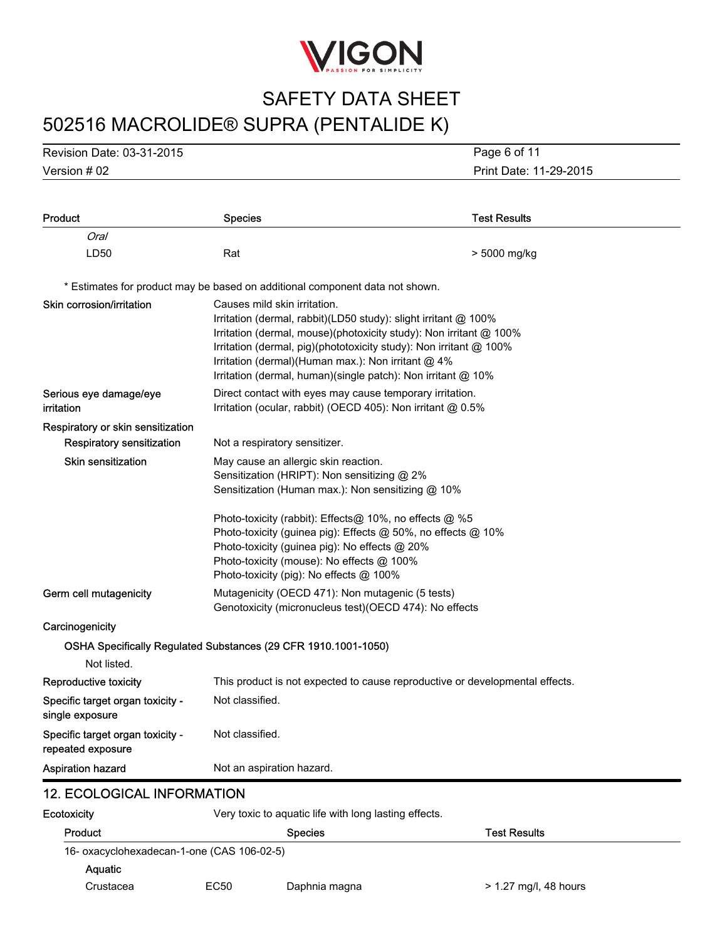

Version # 02 Revision Date: 03-31-2015

Print Date: 11-29-2015 Page 6 of 11

| Product                                               | <b>Species</b>                                                                                                                                                                                      | <b>Test Results</b>                                                                                                                                                                                                                                                            |
|-------------------------------------------------------|-----------------------------------------------------------------------------------------------------------------------------------------------------------------------------------------------------|--------------------------------------------------------------------------------------------------------------------------------------------------------------------------------------------------------------------------------------------------------------------------------|
| Oral                                                  |                                                                                                                                                                                                     |                                                                                                                                                                                                                                                                                |
| LD50                                                  | Rat                                                                                                                                                                                                 | > 5000 mg/kg                                                                                                                                                                                                                                                                   |
|                                                       | * Estimates for product may be based on additional component data not shown.                                                                                                                        |                                                                                                                                                                                                                                                                                |
| Skin corrosion/irritation                             | Causes mild skin irritation.<br>Irritation (dermal)(Human max.): Non irritant $@$ 4%                                                                                                                | Irritation (dermal, rabbit)(LD50 study): slight irritant @ 100%<br>Irritation (dermal, mouse)(photoxicity study): Non irritant $@$ 100%<br>Irritation (dermal, pig)(phototoxicity study): Non irritant @ 100%<br>Irritation (dermal, human) (single patch): Non irritant @ 10% |
| Serious eye damage/eye<br>irritation                  | Direct contact with eyes may cause temporary irritation.<br>Irritation (ocular, rabbit) (OECD 405): Non irritant @ 0.5%                                                                             |                                                                                                                                                                                                                                                                                |
| Respiratory or skin sensitization                     |                                                                                                                                                                                                     |                                                                                                                                                                                                                                                                                |
| Respiratory sensitization                             | Not a respiratory sensitizer.                                                                                                                                                                       |                                                                                                                                                                                                                                                                                |
| <b>Skin sensitization</b>                             | May cause an allergic skin reaction.<br>Sensitization (HRIPT): Non sensitizing @ 2%<br>Sensitization (Human max.): Non sensitizing @ 10%                                                            |                                                                                                                                                                                                                                                                                |
|                                                       | Photo-toxicity (rabbit): Effects@ 10%, no effects @ %5<br>Photo-toxicity (quinea pig): No effects $@$ 20%<br>Photo-toxicity (mouse): No effects @ 100%<br>Photo-toxicity (pig): No effects $@$ 100% | Photo-toxicity (guinea pig): Effects @ 50%, no effects @ 10%                                                                                                                                                                                                                   |
| Germ cell mutagenicity                                | Mutagenicity (OECD 471): Non mutagenic (5 tests)<br>Genotoxicity (micronucleus test) (OECD 474): No effects                                                                                         |                                                                                                                                                                                                                                                                                |
| Carcinogenicity                                       |                                                                                                                                                                                                     |                                                                                                                                                                                                                                                                                |
|                                                       | OSHA Specifically Regulated Substances (29 CFR 1910.1001-1050)                                                                                                                                      |                                                                                                                                                                                                                                                                                |
| Not listed.                                           |                                                                                                                                                                                                     |                                                                                                                                                                                                                                                                                |
| <b>Reproductive toxicity</b>                          |                                                                                                                                                                                                     | This product is not expected to cause reproductive or developmental effects.                                                                                                                                                                                                   |
| Specific target organ toxicity -<br>single exposure   | Not classified.                                                                                                                                                                                     |                                                                                                                                                                                                                                                                                |
| Specific target organ toxicity -<br>repeated exposure | Not classified.                                                                                                                                                                                     |                                                                                                                                                                                                                                                                                |
| <b>Aspiration hazard</b>                              | Not an aspiration hazard.                                                                                                                                                                           |                                                                                                                                                                                                                                                                                |
| <b>12. ECOLOGICAL INFORMATION</b>                     |                                                                                                                                                                                                     |                                                                                                                                                                                                                                                                                |
| Ecotoxicity                                           | Very toxic to aquatic life with long lasting effects.                                                                                                                                               |                                                                                                                                                                                                                                                                                |

| Product                                    |      | <b>Species</b> | <b>Test Results</b>     |
|--------------------------------------------|------|----------------|-------------------------|
| 16- oxacyclohexadecan-1-one (CAS 106-02-5) |      |                |                         |
| <b>Aquatic</b>                             |      |                |                         |
| Crustacea                                  | EC50 | Daphnia magna  | $> 1.27$ mg/l, 48 hours |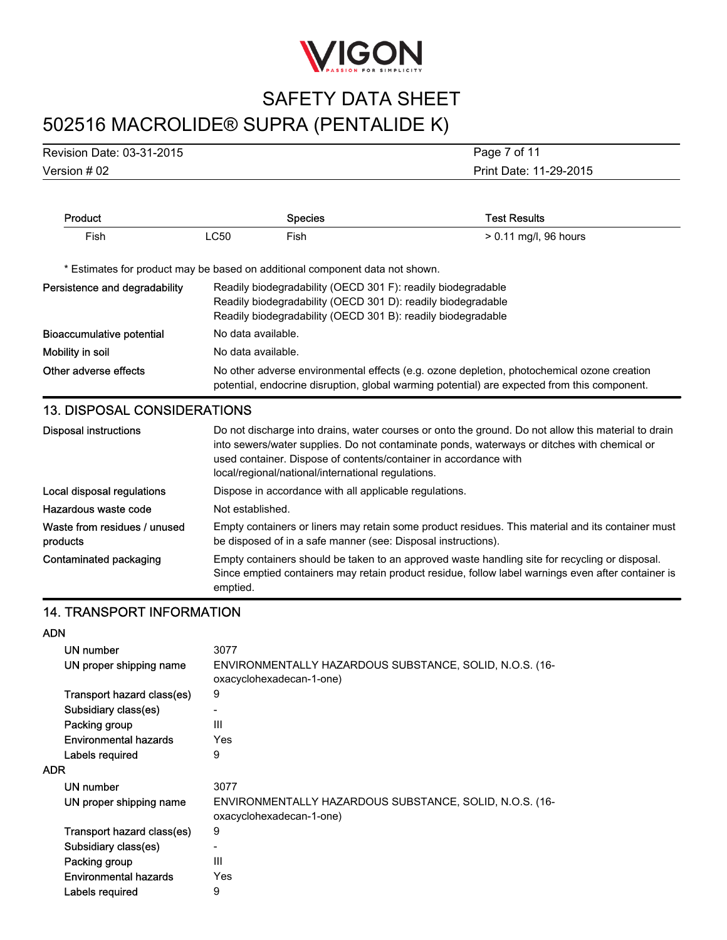

Version # 02 Revision Date: 03-31-2015 Print Date: 11-29-2015 Page 7 of 11

| Product                                                                      |             | <b>Species</b>                                                                                                                                                                               | <b>Test Results</b>                                                                                                                                                                                                                                                    |  |
|------------------------------------------------------------------------------|-------------|----------------------------------------------------------------------------------------------------------------------------------------------------------------------------------------------|------------------------------------------------------------------------------------------------------------------------------------------------------------------------------------------------------------------------------------------------------------------------|--|
| Fish                                                                         | <b>LC50</b> | Fish                                                                                                                                                                                         | $> 0.11$ mg/l, 96 hours                                                                                                                                                                                                                                                |  |
| * Estimates for product may be based on additional component data not shown. |             |                                                                                                                                                                                              |                                                                                                                                                                                                                                                                        |  |
| Persistence and degradability                                                |             | Readily biodegradability (OECD 301 F): readily biodegradable<br>Readily biodegradability (OECD 301 D): readily biodegradable<br>Readily biodegradability (OECD 301 B): readily biodegradable |                                                                                                                                                                                                                                                                        |  |
| <b>Bioaccumulative potential</b>                                             |             | No data available.                                                                                                                                                                           |                                                                                                                                                                                                                                                                        |  |
| Mobility in soil                                                             |             | No data available.                                                                                                                                                                           |                                                                                                                                                                                                                                                                        |  |
| Other adverse effects                                                        |             | No other adverse environmental effects (e.g. ozone depletion, photochemical ozone creation<br>potential, endocrine disruption, global warming potential) are expected from this component.   |                                                                                                                                                                                                                                                                        |  |
| <b>13. DISPOSAL CONSIDERATIONS</b>                                           |             |                                                                                                                                                                                              |                                                                                                                                                                                                                                                                        |  |
| <b>Disposal instructions</b>                                                 |             | local/regional/national/international regulations.                                                                                                                                           | Do not discharge into drains, water courses or onto the ground. Do not allow this material to drain<br>into sewers/water supplies. Do not contaminate ponds, waterways or ditches with chemical or<br>used container. Dispose of contents/container in accordance with |  |
| Local disposal regulations                                                   |             |                                                                                                                                                                                              | Dispose in accordance with all applicable regulations.                                                                                                                                                                                                                 |  |
| Hazardous waste code                                                         |             | Not established.                                                                                                                                                                             |                                                                                                                                                                                                                                                                        |  |
| Waste from residues / unused<br>products                                     |             |                                                                                                                                                                                              | Empty containers or liners may retain some product residues. This material and its container must<br>be disposed of in a safe manner (see: Disposal instructions).                                                                                                     |  |

Contaminated packaging Empty containers should be taken to an approved waste handling site for recycling or disposal. Since emptied containers may retain product residue, follow label warnings even after container is emptied.

### 14. TRANSPORT INFORMATION

#### ADN

| UN number                    | 3077                                                                                |
|------------------------------|-------------------------------------------------------------------------------------|
| UN proper shipping name      | ENVIRONMENTALLY HAZARDOUS SUBSTANCE, SOLID, N.O.S. (16-<br>oxacyclohexadecan-1-one) |
| Transport hazard class(es)   | 9                                                                                   |
| Subsidiary class(es)         |                                                                                     |
| Packing group                | Ш                                                                                   |
| Environmental hazards        | Yes                                                                                 |
| Labels required              | 9                                                                                   |
| <b>ADR</b>                   |                                                                                     |
| UN number                    | 3077                                                                                |
| UN proper shipping name      | ENVIRONMENTALLY HAZARDOUS SUBSTANCE, SOLID, N.O.S. (16-<br>oxacyclohexadecan-1-one) |
| Transport hazard class(es)   | 9                                                                                   |
| Subsidiary class(es)         | -                                                                                   |
| Packing group                | Ш                                                                                   |
| <b>Environmental hazards</b> | Yes                                                                                 |
| Labels required              | 9                                                                                   |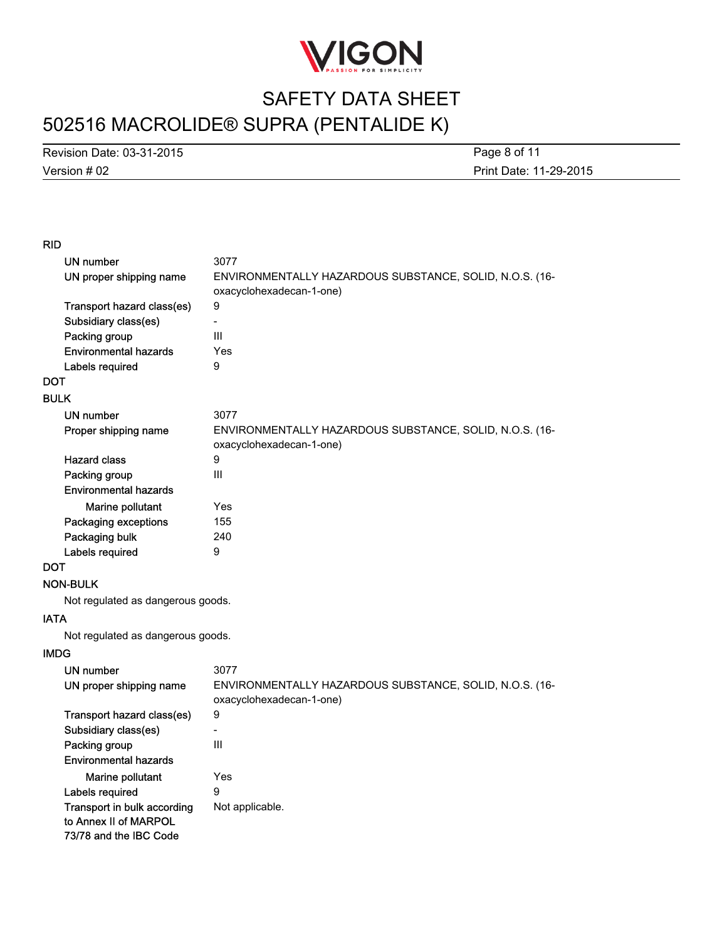

Version # 02 Revision Date: 03-31-2015

Print Date: 11-29-2015 Page 8 of 11

### RID

| UN number                                            | 3077                                                                                |
|------------------------------------------------------|-------------------------------------------------------------------------------------|
| UN proper shipping name                              | ENVIRONMENTALLY HAZARDOUS SUBSTANCE, SOLID, N.O.S. (16-                             |
|                                                      | oxacyclohexadecan-1-one)                                                            |
| Transport hazard class(es)                           | 9                                                                                   |
| Subsidiary class(es)                                 |                                                                                     |
| Packing group                                        | Ш                                                                                   |
| <b>Environmental hazards</b>                         | Yes                                                                                 |
| Labels required                                      | 9                                                                                   |
| <b>DOT</b>                                           |                                                                                     |
| <b>BULK</b>                                          |                                                                                     |
| UN number                                            | 3077                                                                                |
| Proper shipping name                                 | ENVIRONMENTALLY HAZARDOUS SUBSTANCE, SOLID, N.O.S. (16-<br>oxacyclohexadecan-1-one) |
| <b>Hazard class</b>                                  | 9                                                                                   |
| Packing group                                        | Ш                                                                                   |
| <b>Environmental hazards</b>                         |                                                                                     |
| Marine pollutant                                     | Yes                                                                                 |
| Packaging exceptions                                 | 155                                                                                 |
| Packaging bulk                                       | 240                                                                                 |
| Labels required                                      | 9                                                                                   |
| <b>DOT</b>                                           |                                                                                     |
| <b>NON-BULK</b>                                      |                                                                                     |
| Not regulated as dangerous goods.                    |                                                                                     |
| <b>IATA</b>                                          |                                                                                     |
| Not regulated as dangerous goods.                    |                                                                                     |
| <b>IMDG</b>                                          |                                                                                     |
| <b>UN number</b>                                     | 3077                                                                                |
| UN proper shipping name                              | ENVIRONMENTALLY HAZARDOUS SUBSTANCE, SOLID, N.O.S. (16-<br>oxacyclohexadecan-1-one) |
| Transport hazard class(es)                           | 9                                                                                   |
| Subsidiary class(es)                                 |                                                                                     |
| Packing group                                        | Ш                                                                                   |
| <b>Environmental hazards</b>                         |                                                                                     |
| Marine pollutant                                     | Yes                                                                                 |
| Labels required                                      | 9                                                                                   |
| Transport in bulk according<br>to Annex II of MARPOL | Not applicable.                                                                     |
| 73/78 and the IBC Code                               |                                                                                     |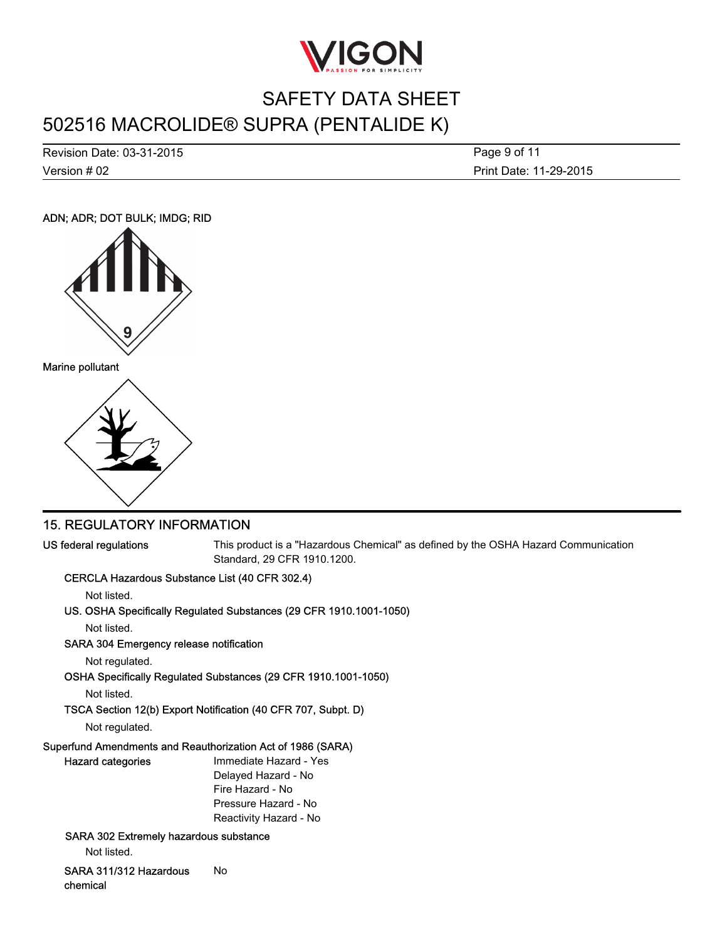

Version # 02 Revision Date: 03-31-2015 Print Date: 11-29-2015 Page 9 of 11

### ADN; ADR; DOT BULK; IMDG; RID





### 15. REGULATORY INFORMATION

US federal regulations This product is a "Hazardous Chemical" as defined by the OSHA Hazard Communication Standard, 29 CFR 1910.1200.

### CERCLA Hazardous Substance List (40 CFR 302.4)

Not listed.

### US. OSHA Specifically Regulated Substances (29 CFR 1910.1001-1050)

Not listed.

#### SARA 304 Emergency release notification

Not regulated.

OSHA Specifically Regulated Substances (29 CFR 1910.1001-1050)

Not listed.

### TSCA Section 12(b) Export Notification (40 CFR 707, Subpt. D)

Not regulated.

### Superfund Amendments and Reauthorization Act of 1986 (SARA)

| Hazard categories                             | Immediate Hazard - Yes |
|-----------------------------------------------|------------------------|
|                                               | Delayed Hazard - No    |
|                                               | Fire Hazard - No       |
|                                               | Pressure Hazard - No   |
|                                               | Reactivity Hazard - No |
| <b>SARA 302 Extremely hazardous substance</b> |                        |

Not listed.

SARA 311/312 Hazardous chemical No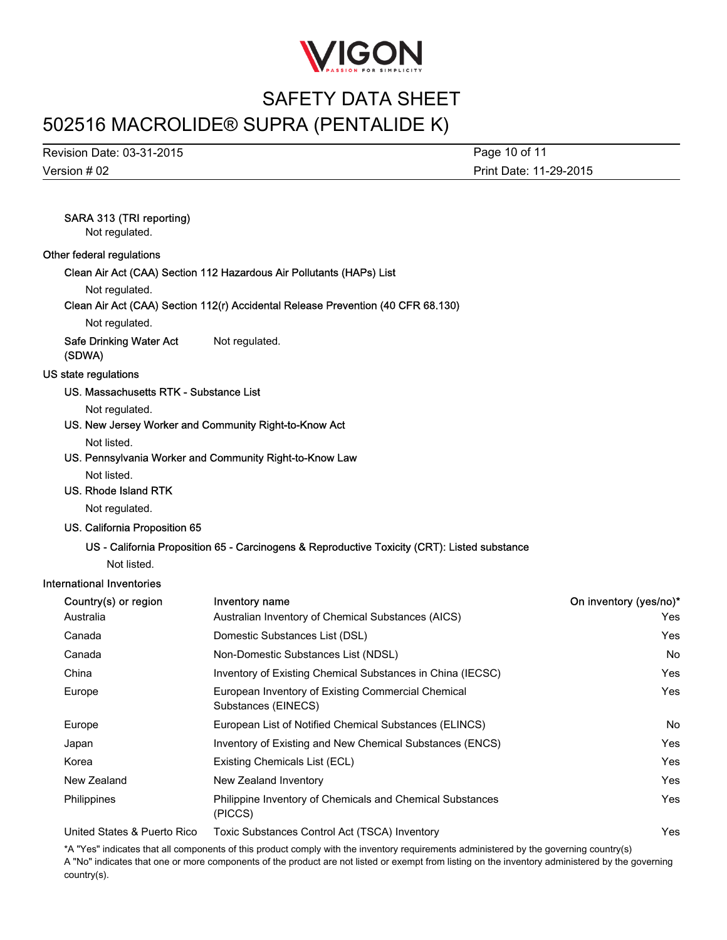

# SAFETY DATA SHEET

## 502516 MACROLIDE® SUPRA (PENTALIDE K)

Version # 02 Revision Date: 03-31-2015 Print Date: 11-29-2015 Page 10 of 11

## SARA 313 (TRI reporting)

Not regulated.

#### Other federal regulations

Clean Air Act (CAA) Section 112 Hazardous Air Pollutants (HAPs) List

Not regulated.

#### Clean Air Act (CAA) Section 112(r) Accidental Release Prevention (40 CFR 68.130)

Not regulated.

Safe Drinking Water Act (SDWA) Not regulated.

#### US state regulations

#### US. Massachusetts RTK - Substance List

Not regulated.

US. New Jersey Worker and Community Right-to-Know Act

Not listed.

US. Pennsylvania Worker and Community Right-to-Know Law

Not listed.

#### US. Rhode Island RTK

Not regulated.

#### US. California Proposition 65

#### US - California Proposition 65 - Carcinogens & Reproductive Toxicity (CRT): Listed substance

Not listed.

#### International Inventories

| Country(s) or region        | <b>Inventory name</b>                                                     | On inventory (yes/no)* |
|-----------------------------|---------------------------------------------------------------------------|------------------------|
| Australia                   | Australian Inventory of Chemical Substances (AICS)                        | Yes                    |
| Canada                      | Domestic Substances List (DSL)                                            | Yes                    |
| Canada                      | Non-Domestic Substances List (NDSL)                                       | No.                    |
| China                       | Inventory of Existing Chemical Substances in China (IECSC)                | Yes                    |
| Europe                      | European Inventory of Existing Commercial Chemical<br>Substances (EINECS) | Yes                    |
| Europe                      | European List of Notified Chemical Substances (ELINCS)                    | No.                    |
| Japan                       | Inventory of Existing and New Chemical Substances (ENCS)                  | Yes                    |
| Korea                       | Existing Chemicals List (ECL)                                             | Yes                    |
| New Zealand                 | New Zealand Inventory                                                     | <b>Yes</b>             |
| Philippines                 | Philippine Inventory of Chemicals and Chemical Substances<br>(PICCS)      | Yes                    |
| United States & Puerto Rico | Toxic Substances Control Act (TSCA) Inventory                             | Yes                    |

\*A "Yes" indicates that all components of this product comply with the inventory requirements administered by the governing country(s) A "No" indicates that one or more components of the product are not listed or exempt from listing on the inventory administered by the governing country(s).